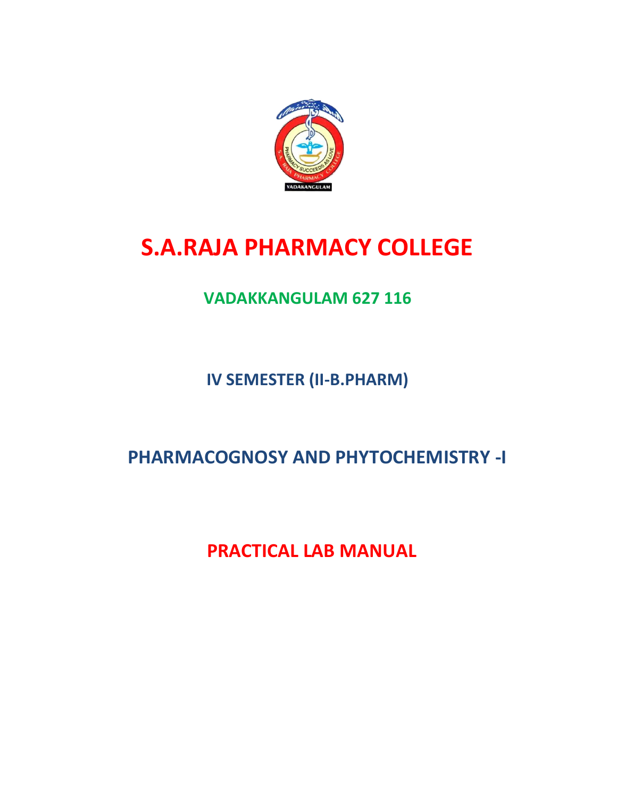

# **S.A.RAJA PHARMACY COLLEGE**

## **VADAKKANGULAM 627 116**

**IV SEMESTER (II-B.PHARM)**

 **PHARMACOGNOSY AND PHYTOCHEMISTRY -I**

 **PRACTICAL LAB MANUAL**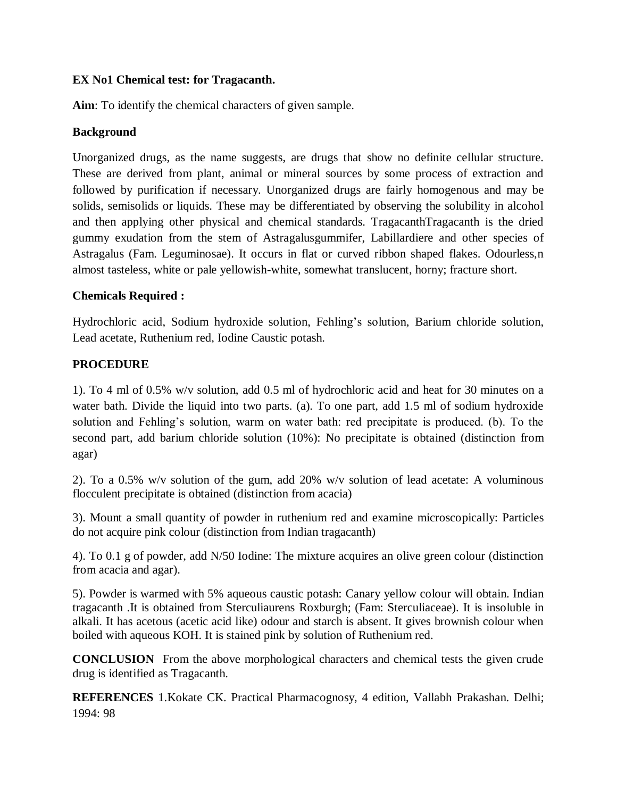### **EX No1 Chemical test: for Tragacanth.**

**Aim**: To identify the chemical characters of given sample.

#### **Background**

Unorganized drugs, as the name suggests, are drugs that show no definite cellular structure. These are derived from plant, animal or mineral sources by some process of extraction and followed by purification if necessary. Unorganized drugs are fairly homogenous and may be solids, semisolids or liquids. These may be differentiated by observing the solubility in alcohol and then applying other physical and chemical standards. TragacanthTragacanth is the dried gummy exudation from the stem of Astragalusgummifer, Labillardiere and other species of Astragalus (Fam. Leguminosae). It occurs in flat or curved ribbon shaped flakes. Odourless,n almost tasteless, white or pale yellowish-white, somewhat translucent, horny; fracture short.

#### **Chemicals Required :**

Hydrochloric acid, Sodium hydroxide solution, Fehling's solution, Barium chloride solution, Lead acetate, Ruthenium red, Iodine Caustic potash.

#### **PROCEDURE**

1). To 4 ml of 0.5% w/v solution, add 0.5 ml of hydrochloric acid and heat for 30 minutes on a water bath. Divide the liquid into two parts. (a). To one part, add 1.5 ml of sodium hydroxide solution and Fehling's solution, warm on water bath: red precipitate is produced. (b). To the second part, add barium chloride solution (10%): No precipitate is obtained (distinction from agar)

2). To a 0.5% w/v solution of the gum, add 20% w/v solution of lead acetate: A voluminous flocculent precipitate is obtained (distinction from acacia)

3). Mount a small quantity of powder in ruthenium red and examine microscopically: Particles do not acquire pink colour (distinction from Indian tragacanth)

4). To 0.1 g of powder, add N/50 Iodine: The mixture acquires an olive green colour (distinction from acacia and agar).

5). Powder is warmed with 5% aqueous caustic potash: Canary yellow colour will obtain. Indian tragacanth .It is obtained from Sterculiaurens Roxburgh; (Fam: Sterculiaceae). It is insoluble in alkali. It has acetous (acetic acid like) odour and starch is absent. It gives brownish colour when boiled with aqueous KOH. It is stained pink by solution of Ruthenium red.

**CONCLUSION** From the above morphological characters and chemical tests the given crude drug is identified as Tragacanth.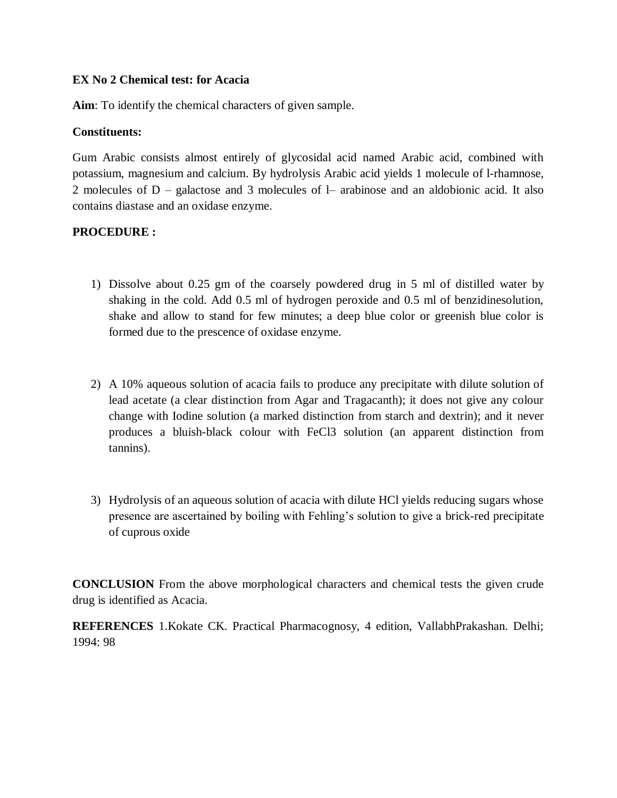#### **EX No 2 Chemical test: for Acacia**

**Aim**: To identify the chemical characters of given sample.

#### **Constituents:**

Gum Arabic consists almost entirely of glycosidal acid named Arabic acid, combined with potassium, magnesium and calcium. By hydrolysis Arabic acid yields 1 molecule of l-rhamnose, 2 molecules of D – galactose and 3 molecules of l– arabinose and an aldobionic acid. It also contains diastase and an oxidase enzyme.

### **PROCEDURE :**

- 1) Dissolve about 0.25 gm of the coarsely powdered drug in 5 ml of distilled water by shaking in the cold. Add 0.5 ml of hydrogen peroxide and 0.5 ml of benzidinesolution, shake and allow to stand for few minutes; a deep blue color or greenish blue color is formed due to the prescence of oxidase enzyme.
- 2) A 10% aqueous solution of acacia fails to produce any precipitate with dilute solution of lead acetate (a clear distinction from Agar and Tragacanth); it does not give any colour change with Iodine solution (a marked distinction from starch and dextrin); and it never produces a bluish-black colour with FeCl3 solution (an apparent distinction from tannins).
- 3) Hydrolysis of an aqueous solution of acacia with dilute HCl yields reducing sugars whose presence are ascertained by boiling with Fehling's solution to give a brick-red precipitate of cuprous oxide

**CONCLUSION** From the above morphological characters and chemical tests the given crude drug is identified as Acacia.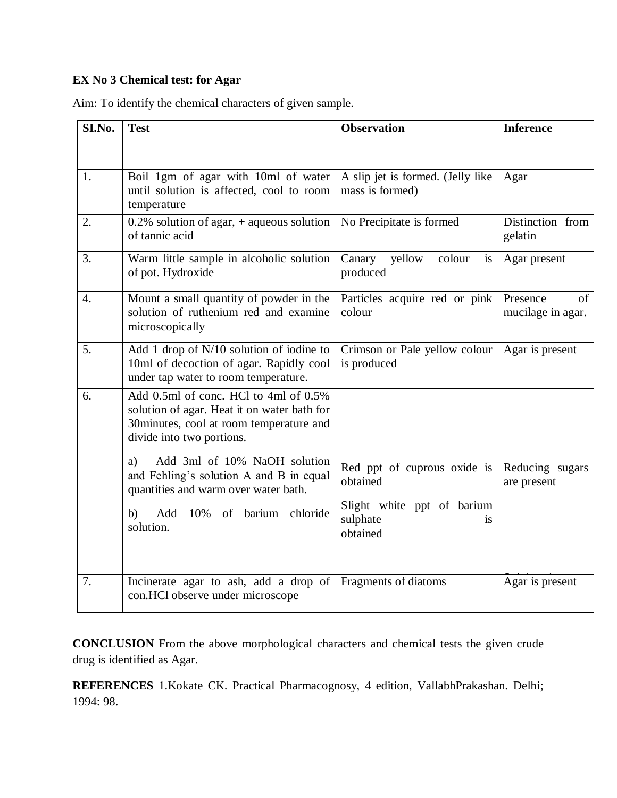### **EX No 3 Chemical test: for Agar**

Aim: To identify the chemical characters of given sample.

| SI.No.           | <b>Test</b>                                                                                                                                                  | <b>Observation</b>                                                  | <b>Inference</b>                    |
|------------------|--------------------------------------------------------------------------------------------------------------------------------------------------------------|---------------------------------------------------------------------|-------------------------------------|
|                  |                                                                                                                                                              |                                                                     |                                     |
| 1.               | Boil 1gm of agar with 10ml of water<br>until solution is affected, cool to room<br>temperature                                                               | A slip jet is formed. (Jelly like<br>mass is formed)                | Agar                                |
| 2.               | 0.2% solution of agar, $+$ aqueous solution<br>of tannic acid                                                                                                | No Precipitate is formed                                            | Distinction from<br>gelatin         |
| 3.               | Warm little sample in alcoholic solution<br>of pot. Hydroxide                                                                                                | yellow<br>colour<br>Canary<br>is<br>produced                        | Agar present                        |
| $\overline{4}$ . | Mount a small quantity of powder in the<br>solution of ruthenium red and examine<br>microscopically                                                          | Particles acquire red or pink<br>colour                             | Presence<br>of<br>mucilage in agar. |
| 5.               | Add 1 drop of N/10 solution of iodine to<br>10ml of decoction of agar. Rapidly cool<br>under tap water to room temperature.                                  | Crimson or Pale yellow colour<br>is produced                        | Agar is present                     |
| 6.               | Add 0.5ml of conc. HCl to 4ml of 0.5%<br>solution of agar. Heat it on water bath for<br>30minutes, cool at room temperature and<br>divide into two portions. |                                                                     |                                     |
|                  | Add 3ml of 10% NaOH solution<br>a)<br>and Fehling's solution A and B in equal<br>quantities and warm over water bath.                                        | Red ppt of cuprous oxide is<br>obtained                             | Reducing sugars<br>are present      |
|                  | 10% of barium<br>Add<br>chloride<br>b)<br>solution.                                                                                                          | Slight white ppt of barium<br>sulphate<br><sup>is</sup><br>obtained |                                     |
| 7.               | Incinerate agar to ash, add a drop of<br>con.HCl observe under microscope                                                                                    | Fragments of diatoms                                                | Agar is present                     |

**CONCLUSION** From the above morphological characters and chemical tests the given crude drug is identified as Agar.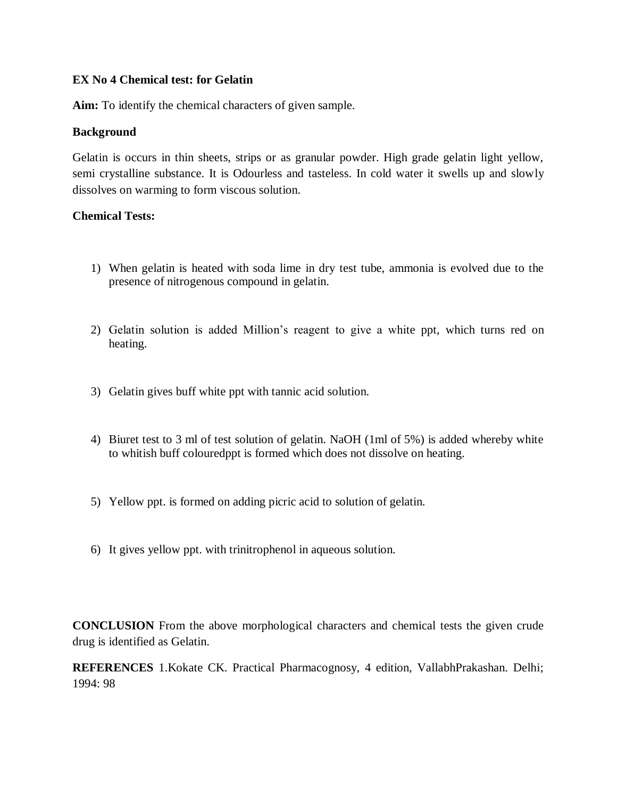#### **EX No 4 Chemical test: for Gelatin**

**Aim:** To identify the chemical characters of given sample.

#### **Background**

Gelatin is occurs in thin sheets, strips or as granular powder. High grade gelatin light yellow, semi crystalline substance. It is Odourless and tasteless. In cold water it swells up and slowly dissolves on warming to form viscous solution.

#### **Chemical Tests:**

- 1) When gelatin is heated with soda lime in dry test tube, ammonia is evolved due to the presence of nitrogenous compound in gelatin.
- 2) Gelatin solution is added Million's reagent to give a white ppt, which turns red on heating.
- 3) Gelatin gives buff white ppt with tannic acid solution.
- 4) Biuret test to 3 ml of test solution of gelatin. NaOH (1ml of 5%) is added whereby white to whitish buff colouredppt is formed which does not dissolve on heating.
- 5) Yellow ppt. is formed on adding picric acid to solution of gelatin.
- 6) It gives yellow ppt. with trinitrophenol in aqueous solution.

**CONCLUSION** From the above morphological characters and chemical tests the given crude drug is identified as Gelatin.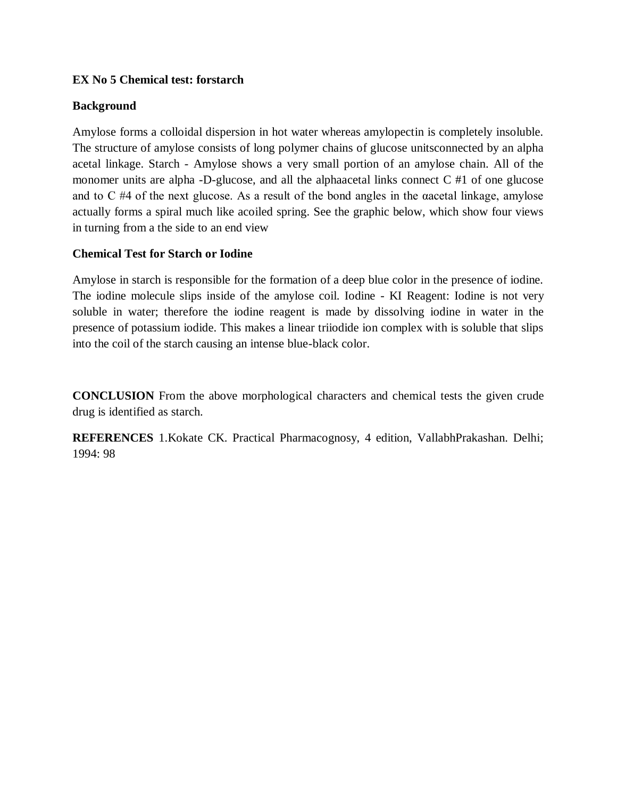### **EX No 5 Chemical test: forstarch**

#### **Background**

Amylose forms a colloidal dispersion in hot water whereas amylopectin is completely insoluble. The structure of amylose consists of long polymer chains of glucose unitsconnected by an alpha acetal linkage. Starch - Amylose shows a very small portion of an amylose chain. All of the monomer units are alpha -D-glucose, and all the alphaacetal links connect C #1 of one glucose and to C #4 of the next glucose. As a result of the bond angles in the αacetal linkage, amylose actually forms a spiral much like acoiled spring. See the graphic below, which show four views in turning from a the side to an end view

#### **Chemical Test for Starch or Iodine**

Amylose in starch is responsible for the formation of a deep blue color in the presence of iodine. The iodine molecule slips inside of the amylose coil. Iodine - KI Reagent: Iodine is not very soluble in water; therefore the iodine reagent is made by dissolving iodine in water in the presence of potassium iodide. This makes a linear triiodide ion complex with is soluble that slips into the coil of the starch causing an intense blue-black color.

**CONCLUSION** From the above morphological characters and chemical tests the given crude drug is identified as starch.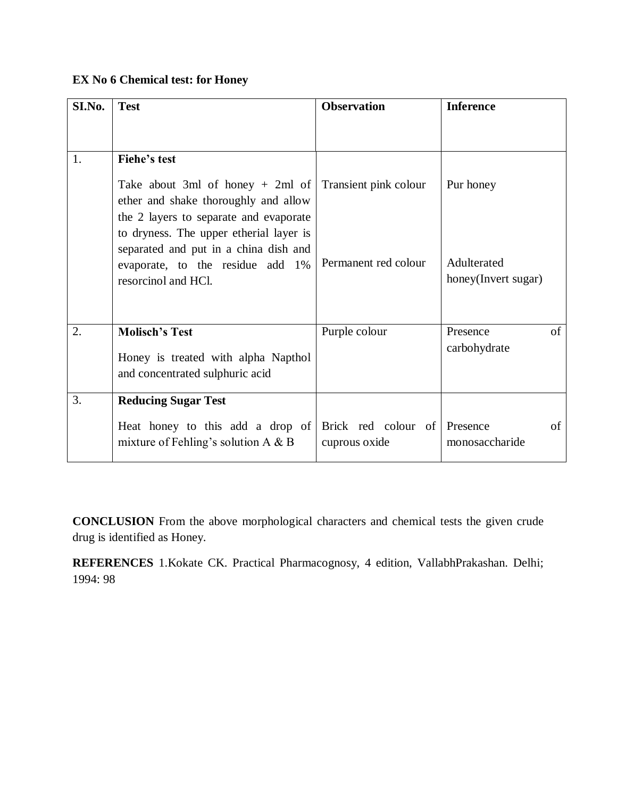### **EX No 6 Chemical test: for Honey**

| SI.No. | <b>Test</b>                                                                                                                                                     | <b>Observation</b>                   | <b>Inference</b>                   |
|--------|-----------------------------------------------------------------------------------------------------------------------------------------------------------------|--------------------------------------|------------------------------------|
|        |                                                                                                                                                                 |                                      |                                    |
| 1.     | Fiehe's test                                                                                                                                                    |                                      |                                    |
|        | Take about 3ml of honey $+$ 2ml of<br>ether and shake thoroughly and allow<br>the 2 layers to separate and evaporate<br>to dryness. The upper etherial layer is | Transient pink colour                | Pur honey                          |
|        | separated and put in a china dish and<br>evaporate, to the residue add 1%<br>resorcinol and HCl.                                                                | Permanent red colour                 | Adulterated<br>honey(Invert sugar) |
| 2.     | <b>Molisch's Test</b><br>Honey is treated with alpha Napthol<br>and concentrated sulphuric acid                                                                 | Purple colour                        | of<br>Presence<br>carbohydrate     |
| 3.     | <b>Reducing Sugar Test</b>                                                                                                                                      |                                      |                                    |
|        | Heat honey to this add a drop of<br>mixture of Fehling's solution $A \& B$                                                                                      | Brick red colour of<br>cuprous oxide | Presence<br>of<br>monosaccharide   |

**CONCLUSION** From the above morphological characters and chemical tests the given crude drug is identified as Honey.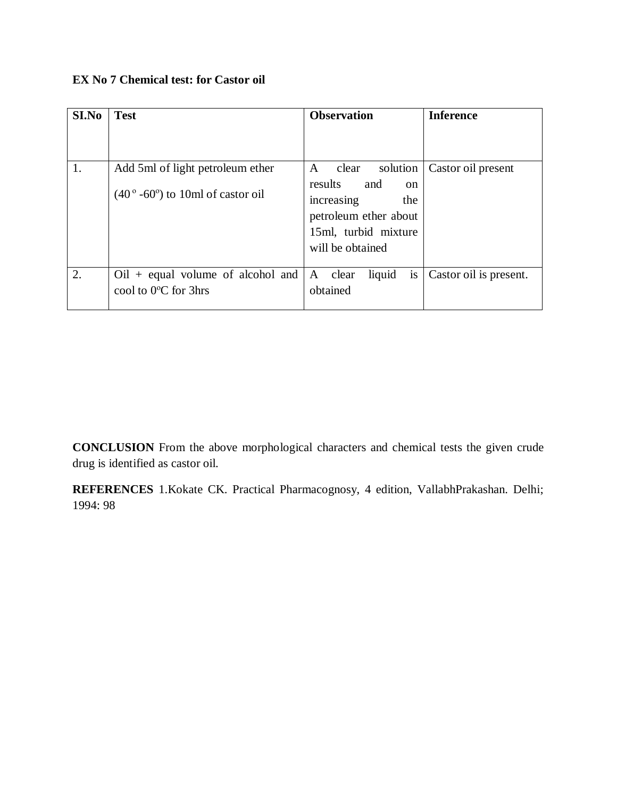### **EX No 7 Chemical test: for Castor oil**

| SI.No | <b>Test</b>                                                 | <b>Observation</b>                                                                                                        | <b>Inference</b>       |
|-------|-------------------------------------------------------------|---------------------------------------------------------------------------------------------------------------------------|------------------------|
|       |                                                             |                                                                                                                           |                        |
| 1.    | Add 5ml of light petroleum ether                            | clear<br>solution<br>$\mathsf{A}$                                                                                         | Castor oil present     |
|       | $(40^{\circ} - 60^{\circ})$ to 10ml of castor oil           | results<br>and<br><sub>on</sub><br>increasing<br>the<br>petroleum ether about<br>15ml, turbid mixture<br>will be obtained |                        |
| 2.    | $Oil + equal$ volume of alcohol and<br>cool to 0°C for 3hrs | A clear<br>liquid<br>is<br>obtained                                                                                       | Castor oil is present. |

**CONCLUSION** From the above morphological characters and chemical tests the given crude drug is identified as castor oil.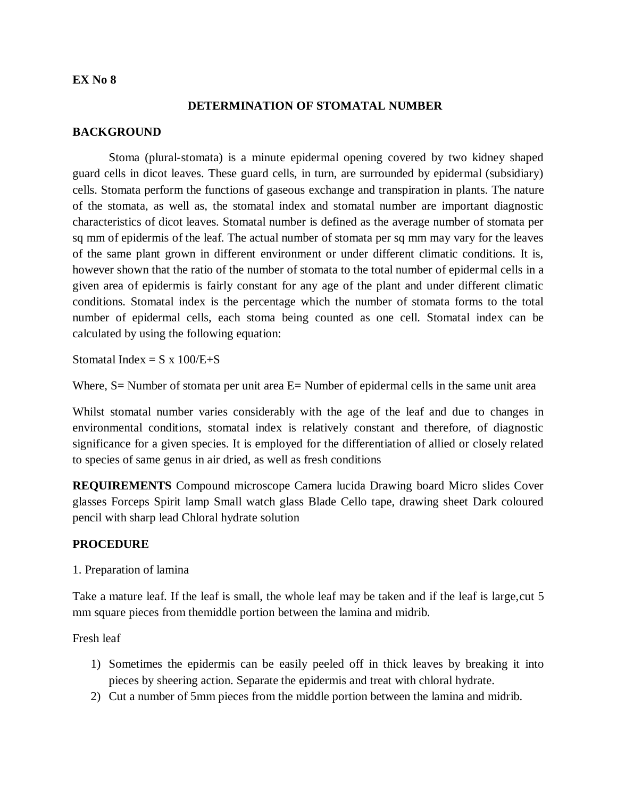#### **DETERMINATION OF STOMATAL NUMBER**

#### **BACKGROUND**

Stoma (plural-stomata) is a minute epidermal opening covered by two kidney shaped guard cells in dicot leaves. These guard cells, in turn, are surrounded by epidermal (subsidiary) cells. Stomata perform the functions of gaseous exchange and transpiration in plants. The nature of the stomata, as well as, the stomatal index and stomatal number are important diagnostic characteristics of dicot leaves. Stomatal number is defined as the average number of stomata per sq mm of epidermis of the leaf. The actual number of stomata per sq mm may vary for the leaves of the same plant grown in different environment or under different climatic conditions. It is, however shown that the ratio of the number of stomata to the total number of epidermal cells in a given area of epidermis is fairly constant for any age of the plant and under different climatic conditions. Stomatal index is the percentage which the number of stomata forms to the total number of epidermal cells, each stoma being counted as one cell. Stomatal index can be calculated by using the following equation:

Stomatal Index =  $S \times 100/E + S$ 

Where,  $S =$  Number of stomata per unit area  $E =$  Number of epidermal cells in the same unit area

Whilst stomatal number varies considerably with the age of the leaf and due to changes in environmental conditions, stomatal index is relatively constant and therefore, of diagnostic significance for a given species. It is employed for the differentiation of allied or closely related to species of same genus in air dried, as well as fresh conditions

**REQUIREMENTS** Compound microscope Camera lucida Drawing board Micro slides Cover glasses Forceps Spirit lamp Small watch glass Blade Cello tape, drawing sheet Dark coloured pencil with sharp lead Chloral hydrate solution

#### **PROCEDURE**

1. Preparation of lamina

Take a mature leaf. If the leaf is small, the whole leaf may be taken and if the leaf is large,cut 5 mm square pieces from themiddle portion between the lamina and midrib.

Fresh leaf

- 1) Sometimes the epidermis can be easily peeled off in thick leaves by breaking it into pieces by sheering action. Separate the epidermis and treat with chloral hydrate.
- 2) Cut a number of 5mm pieces from the middle portion between the lamina and midrib.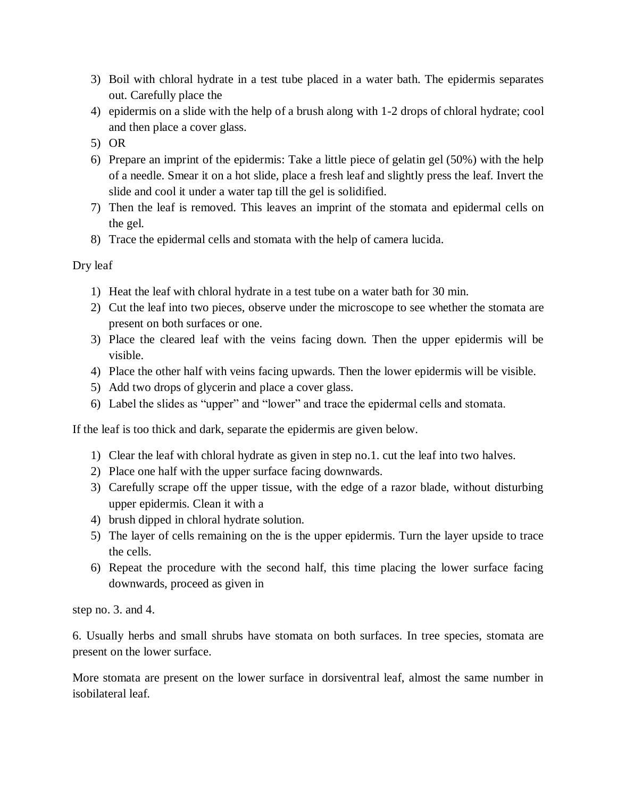- 3) Boil with chloral hydrate in a test tube placed in a water bath. The epidermis separates out. Carefully place the
- 4) epidermis on a slide with the help of a brush along with 1-2 drops of chloral hydrate; cool and then place a cover glass.
- 5) OR
- 6) Prepare an imprint of the epidermis: Take a little piece of gelatin gel (50%) with the help of a needle. Smear it on a hot slide, place a fresh leaf and slightly press the leaf. Invert the slide and cool it under a water tap till the gel is solidified.
- 7) Then the leaf is removed. This leaves an imprint of the stomata and epidermal cells on the gel.
- 8) Trace the epidermal cells and stomata with the help of camera lucida.

Dry leaf

- 1) Heat the leaf with chloral hydrate in a test tube on a water bath for 30 min.
- 2) Cut the leaf into two pieces, observe under the microscope to see whether the stomata are present on both surfaces or one.
- 3) Place the cleared leaf with the veins facing down. Then the upper epidermis will be visible.
- 4) Place the other half with veins facing upwards. Then the lower epidermis will be visible.
- 5) Add two drops of glycerin and place a cover glass.
- 6) Label the slides as "upper" and "lower" and trace the epidermal cells and stomata.

If the leaf is too thick and dark, separate the epidermis are given below.

- 1) Clear the leaf with chloral hydrate as given in step no.1. cut the leaf into two halves.
- 2) Place one half with the upper surface facing downwards.
- 3) Carefully scrape off the upper tissue, with the edge of a razor blade, without disturbing upper epidermis. Clean it with a
- 4) brush dipped in chloral hydrate solution.
- 5) The layer of cells remaining on the is the upper epidermis. Turn the layer upside to trace the cells.
- 6) Repeat the procedure with the second half, this time placing the lower surface facing downwards, proceed as given in

step no. 3. and 4.

6. Usually herbs and small shrubs have stomata on both surfaces. In tree species, stomata are present on the lower surface.

More stomata are present on the lower surface in dorsiventral leaf, almost the same number in isobilateral leaf.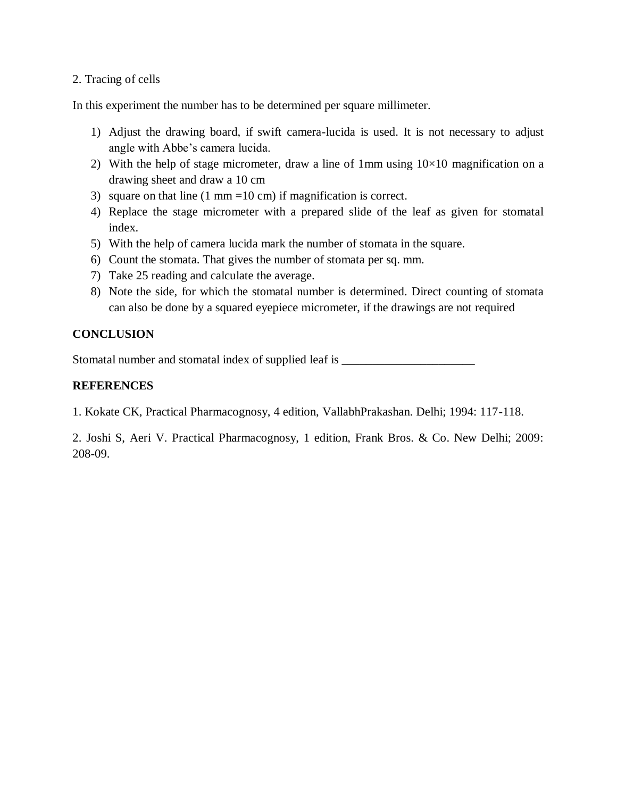#### 2. Tracing of cells

In this experiment the number has to be determined per square millimeter.

- 1) Adjust the drawing board, if swift camera-lucida is used. It is not necessary to adjust angle with Abbe's camera lucida.
- 2) With the help of stage micrometer, draw a line of 1mm using  $10\times10$  magnification on a drawing sheet and draw a 10 cm
- 3) square on that line  $(1 \text{ mm} = 10 \text{ cm})$  if magnification is correct.
- 4) Replace the stage micrometer with a prepared slide of the leaf as given for stomatal index.
- 5) With the help of camera lucida mark the number of stomata in the square.
- 6) Count the stomata. That gives the number of stomata per sq. mm.
- 7) Take 25 reading and calculate the average.
- 8) Note the side, for which the stomatal number is determined. Direct counting of stomata can also be done by a squared eyepiece micrometer, if the drawings are not required

#### **CONCLUSION**

Stomatal number and stomatal index of supplied leaf is \_\_\_\_\_\_\_\_\_\_\_\_\_\_\_\_\_\_\_\_\_\_\_\_\_

#### **REFERENCES**

1. Kokate CK, Practical Pharmacognosy, 4 edition, VallabhPrakashan. Delhi; 1994: 117-118.

2. Joshi S, Aeri V. Practical Pharmacognosy, 1 edition, Frank Bros. & Co. New Delhi; 2009: 208-09.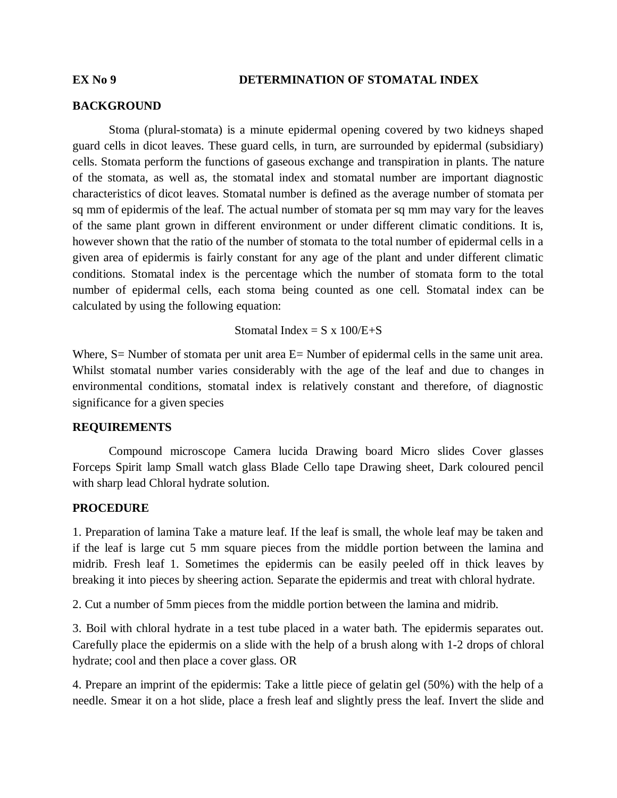#### **EX No 9 DETERMINATION OF STOMATAL INDEX**

#### **BACKGROUND**

Stoma (plural-stomata) is a minute epidermal opening covered by two kidneys shaped guard cells in dicot leaves. These guard cells, in turn, are surrounded by epidermal (subsidiary) cells. Stomata perform the functions of gaseous exchange and transpiration in plants. The nature of the stomata, as well as, the stomatal index and stomatal number are important diagnostic characteristics of dicot leaves. Stomatal number is defined as the average number of stomata per sq mm of epidermis of the leaf. The actual number of stomata per sq mm may vary for the leaves of the same plant grown in different environment or under different climatic conditions. It is, however shown that the ratio of the number of stomata to the total number of epidermal cells in a given area of epidermis is fairly constant for any age of the plant and under different climatic conditions. Stomatal index is the percentage which the number of stomata form to the total number of epidermal cells, each stoma being counted as one cell. Stomatal index can be calculated by using the following equation:

Stomatal Index =  $S \times 100/E + S$ 

Where, S = Number of stomata per unit area E = Number of epidermal cells in the same unit area. Whilst stomatal number varies considerably with the age of the leaf and due to changes in environmental conditions, stomatal index is relatively constant and therefore, of diagnostic significance for a given species

#### **REQUIREMENTS**

Compound microscope Camera lucida Drawing board Micro slides Cover glasses Forceps Spirit lamp Small watch glass Blade Cello tape Drawing sheet, Dark coloured pencil with sharp lead Chloral hydrate solution.

#### **PROCEDURE**

1. Preparation of lamina Take a mature leaf. If the leaf is small, the whole leaf may be taken and if the leaf is large cut 5 mm square pieces from the middle portion between the lamina and midrib. Fresh leaf 1. Sometimes the epidermis can be easily peeled off in thick leaves by breaking it into pieces by sheering action. Separate the epidermis and treat with chloral hydrate.

2. Cut a number of 5mm pieces from the middle portion between the lamina and midrib.

3. Boil with chloral hydrate in a test tube placed in a water bath. The epidermis separates out. Carefully place the epidermis on a slide with the help of a brush along with 1-2 drops of chloral hydrate; cool and then place a cover glass. OR

4. Prepare an imprint of the epidermis: Take a little piece of gelatin gel (50%) with the help of a needle. Smear it on a hot slide, place a fresh leaf and slightly press the leaf. Invert the slide and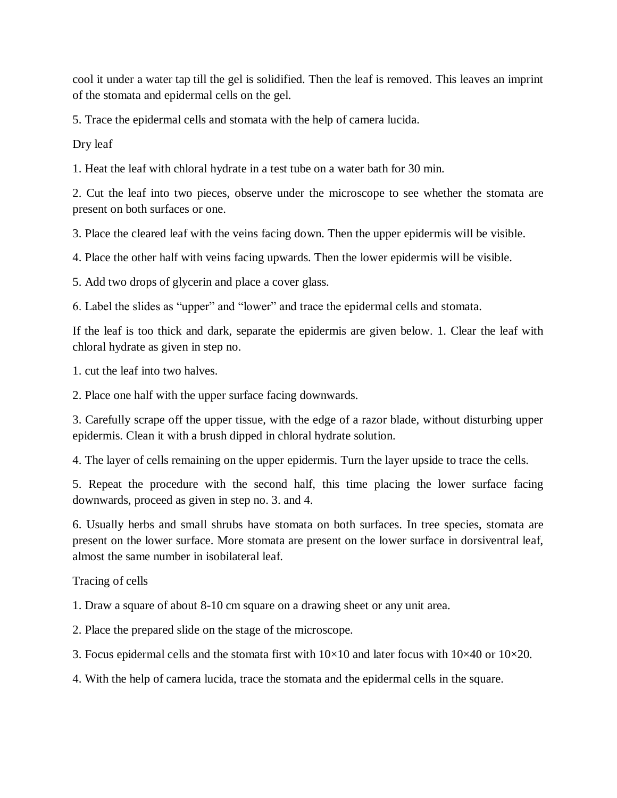cool it under a water tap till the gel is solidified. Then the leaf is removed. This leaves an imprint of the stomata and epidermal cells on the gel.

5. Trace the epidermal cells and stomata with the help of camera lucida.

Dry leaf

1. Heat the leaf with chloral hydrate in a test tube on a water bath for 30 min.

2. Cut the leaf into two pieces, observe under the microscope to see whether the stomata are present on both surfaces or one.

3. Place the cleared leaf with the veins facing down. Then the upper epidermis will be visible.

4. Place the other half with veins facing upwards. Then the lower epidermis will be visible.

5. Add two drops of glycerin and place a cover glass.

6. Label the slides as "upper" and "lower" and trace the epidermal cells and stomata.

If the leaf is too thick and dark, separate the epidermis are given below. 1. Clear the leaf with chloral hydrate as given in step no.

1. cut the leaf into two halves.

2. Place one half with the upper surface facing downwards.

3. Carefully scrape off the upper tissue, with the edge of a razor blade, without disturbing upper epidermis. Clean it with a brush dipped in chloral hydrate solution.

4. The layer of cells remaining on the upper epidermis. Turn the layer upside to trace the cells.

5. Repeat the procedure with the second half, this time placing the lower surface facing downwards, proceed as given in step no. 3. and 4.

6. Usually herbs and small shrubs have stomata on both surfaces. In tree species, stomata are present on the lower surface. More stomata are present on the lower surface in dorsiventral leaf, almost the same number in isobilateral leaf.

Tracing of cells

1. Draw a square of about 8-10 cm square on a drawing sheet or any unit area.

2. Place the prepared slide on the stage of the microscope.

3. Focus epidermal cells and the stomata first with  $10\times10$  and later focus with  $10\times40$  or  $10\times20$ .

4. With the help of camera lucida, trace the stomata and the epidermal cells in the square.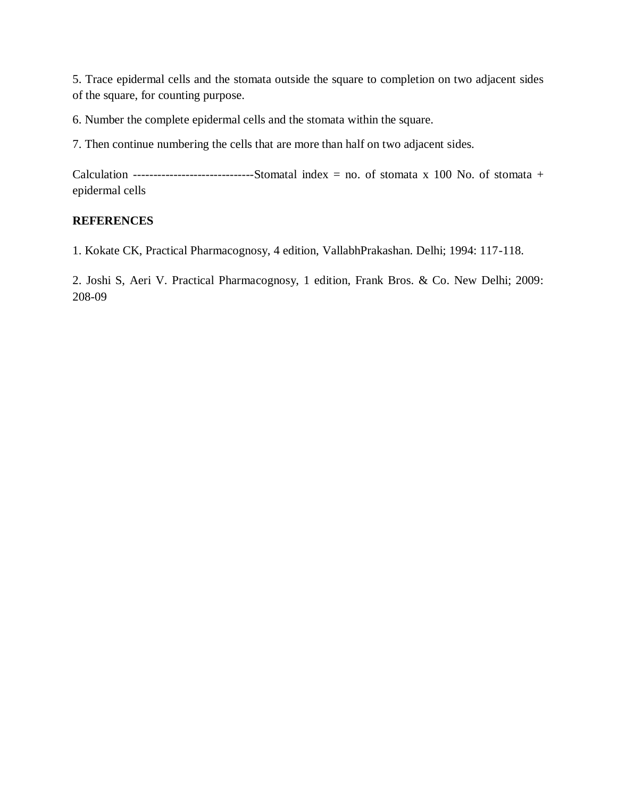5. Trace epidermal cells and the stomata outside the square to completion on two adjacent sides of the square, for counting purpose.

6. Number the complete epidermal cells and the stomata within the square.

7. Then continue numbering the cells that are more than half on two adjacent sides.

Calculation ----------------------------------Stomatal index = no. of stomata x 100 No. of stomata + epidermal cells

#### **REFERENCES**

1. Kokate CK, Practical Pharmacognosy, 4 edition, VallabhPrakashan. Delhi; 1994: 117-118.

2. Joshi S, Aeri V. Practical Pharmacognosy, 1 edition, Frank Bros. & Co. New Delhi; 2009: 208-09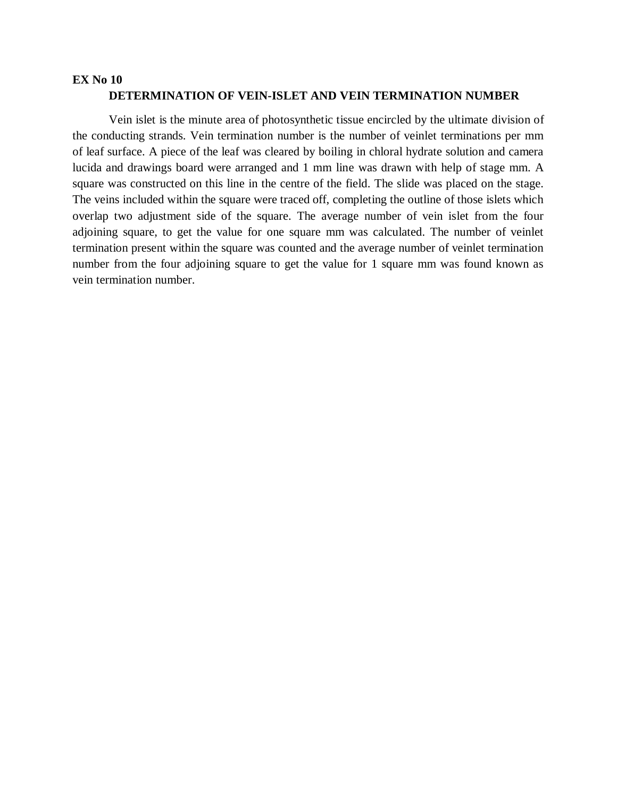#### **EX No 10 DETERMINATION OF VEIN-ISLET AND VEIN TERMINATION NUMBER**

Vein islet is the minute area of photosynthetic tissue encircled by the ultimate division of the conducting strands. Vein termination number is the number of veinlet terminations per mm of leaf surface. A piece of the leaf was cleared by boiling in chloral hydrate solution and camera lucida and drawings board were arranged and 1 mm line was drawn with help of stage mm. A square was constructed on this line in the centre of the field. The slide was placed on the stage. The veins included within the square were traced off, completing the outline of those islets which overlap two adjustment side of the square. The average number of vein islet from the four adjoining square, to get the value for one square mm was calculated. The number of veinlet termination present within the square was counted and the average number of veinlet termination number from the four adjoining square to get the value for 1 square mm was found known as vein termination number.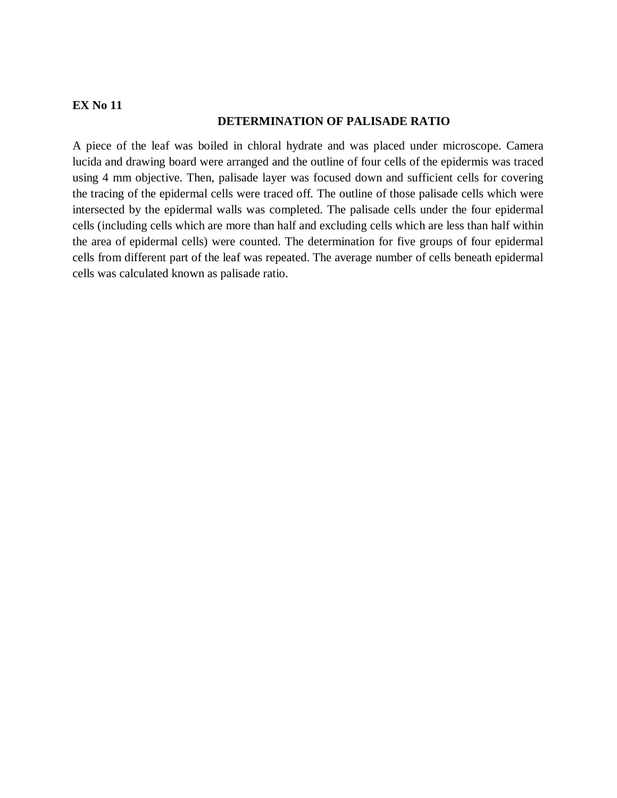#### **DETERMINATION OF PALISADE RATIO**

A piece of the leaf was boiled in chloral hydrate and was placed under microscope. Camera lucida and drawing board were arranged and the outline of four cells of the epidermis was traced using 4 mm objective. Then, palisade layer was focused down and sufficient cells for covering the tracing of the epidermal cells were traced off. The outline of those palisade cells which were intersected by the epidermal walls was completed. The palisade cells under the four epidermal cells (including cells which are more than half and excluding cells which are less than half within the area of epidermal cells) were counted. The determination for five groups of four epidermal cells from different part of the leaf was repeated. The average number of cells beneath epidermal cells was calculated known as palisade ratio.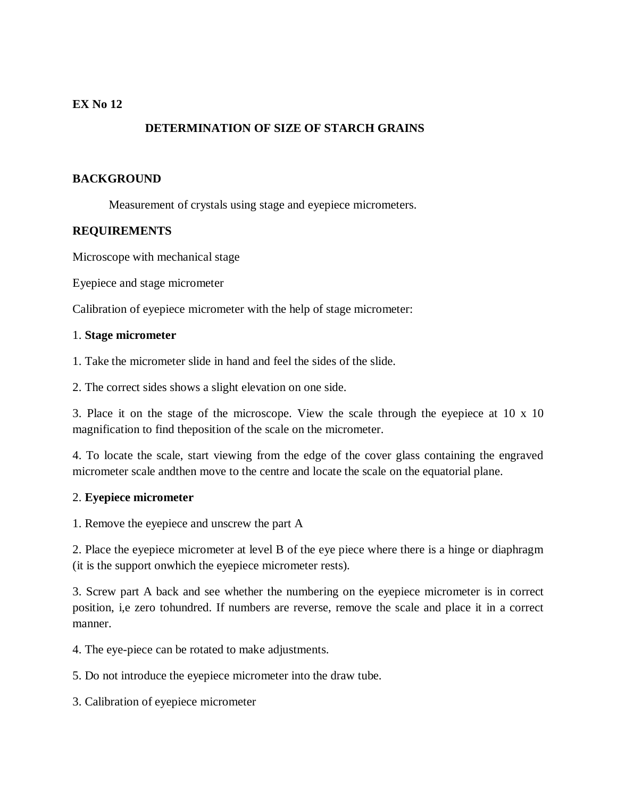### **DETERMINATION OF SIZE OF STARCH GRAINS**

#### **BACKGROUND**

Measurement of crystals using stage and eyepiece micrometers.

#### **REQUIREMENTS**

Microscope with mechanical stage

Eyepiece and stage micrometer

Calibration of eyepiece micrometer with the help of stage micrometer:

#### 1. **Stage micrometer**

1. Take the micrometer slide in hand and feel the sides of the slide.

2. The correct sides shows a slight elevation on one side.

3. Place it on the stage of the microscope. View the scale through the eyepiece at 10 x 10 magnification to find theposition of the scale on the micrometer.

4. To locate the scale, start viewing from the edge of the cover glass containing the engraved micrometer scale andthen move to the centre and locate the scale on the equatorial plane.

#### 2. **Eyepiece micrometer**

1. Remove the eyepiece and unscrew the part A

2. Place the eyepiece micrometer at level B of the eye piece where there is a hinge or diaphragm (it is the support onwhich the eyepiece micrometer rests).

3. Screw part A back and see whether the numbering on the eyepiece micrometer is in correct position, i,e zero tohundred. If numbers are reverse, remove the scale and place it in a correct manner.

4. The eye-piece can be rotated to make adjustments.

5. Do not introduce the eyepiece micrometer into the draw tube.

3. Calibration of eyepiece micrometer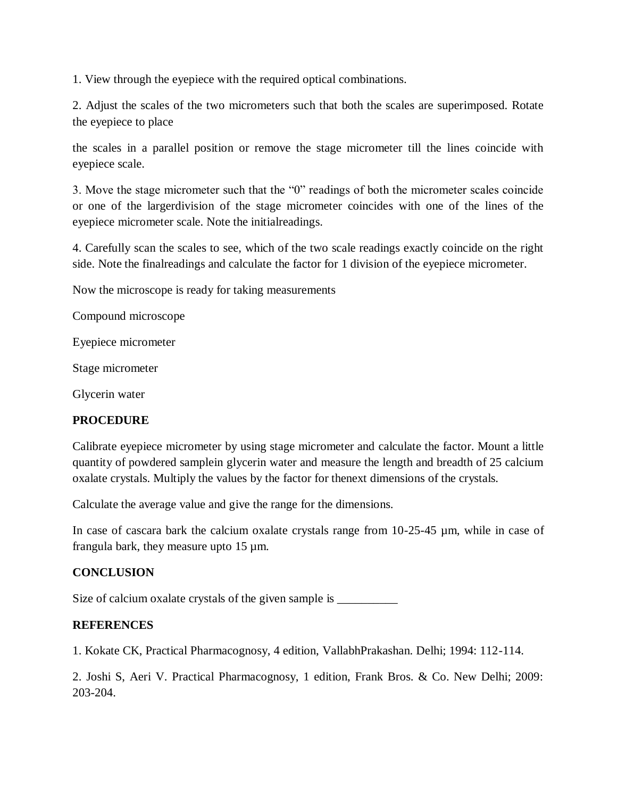1. View through the eyepiece with the required optical combinations.

2. Adjust the scales of the two micrometers such that both the scales are superimposed. Rotate the eyepiece to place

the scales in a parallel position or remove the stage micrometer till the lines coincide with eyepiece scale.

3. Move the stage micrometer such that the "0" readings of both the micrometer scales coincide or one of the largerdivision of the stage micrometer coincides with one of the lines of the eyepiece micrometer scale. Note the initialreadings.

4. Carefully scan the scales to see, which of the two scale readings exactly coincide on the right side. Note the finalreadings and calculate the factor for 1 division of the eyepiece micrometer.

Now the microscope is ready for taking measurements

Compound microscope

Eyepiece micrometer

Stage micrometer

Glycerin water

#### **PROCEDURE**

Calibrate eyepiece micrometer by using stage micrometer and calculate the factor. Mount a little quantity of powdered samplein glycerin water and measure the length and breadth of 25 calcium oxalate crystals. Multiply the values by the factor for thenext dimensions of the crystals.

Calculate the average value and give the range for the dimensions.

In case of cascara bark the calcium oxalate crystals range from 10-25-45  $\mu$ m, while in case of frangula bark, they measure upto 15 µm.

#### **CONCLUSION**

Size of calcium oxalate crystals of the given sample is \_\_\_\_\_\_\_\_\_\_\_\_\_\_\_\_\_\_\_\_\_\_\_\_\_

#### **REFERENCES**

1. Kokate CK, Practical Pharmacognosy, 4 edition, VallabhPrakashan. Delhi; 1994: 112-114.

2. Joshi S, Aeri V. Practical Pharmacognosy, 1 edition, Frank Bros. & Co. New Delhi; 2009: 203-204.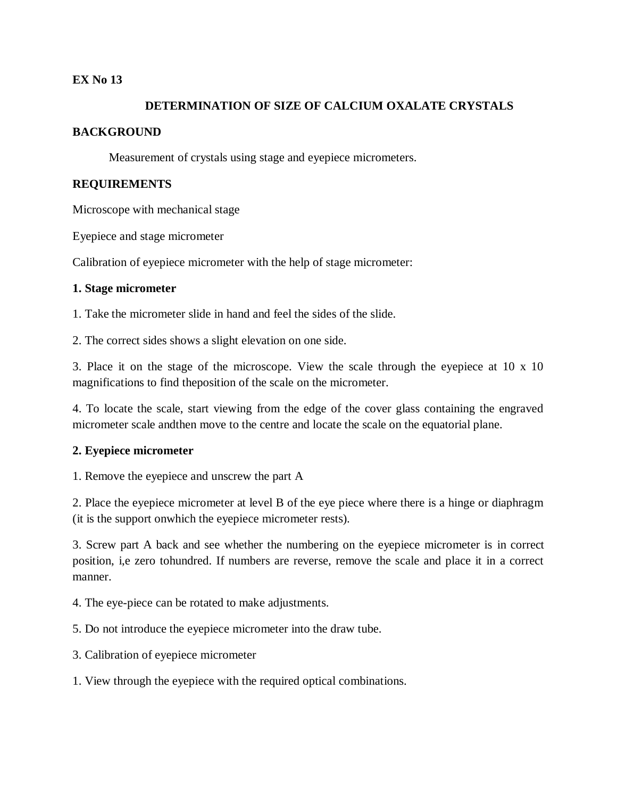#### **DETERMINATION OF SIZE OF CALCIUM OXALATE CRYSTALS**

#### **BACKGROUND**

Measurement of crystals using stage and eyepiece micrometers.

#### **REQUIREMENTS**

Microscope with mechanical stage

Eyepiece and stage micrometer

Calibration of eyepiece micrometer with the help of stage micrometer:

#### **1. Stage micrometer**

1. Take the micrometer slide in hand and feel the sides of the slide.

2. The correct sides shows a slight elevation on one side.

3. Place it on the stage of the microscope. View the scale through the eyepiece at 10 x 10 magnifications to find theposition of the scale on the micrometer.

4. To locate the scale, start viewing from the edge of the cover glass containing the engraved micrometer scale andthen move to the centre and locate the scale on the equatorial plane.

#### **2. Eyepiece micrometer**

1. Remove the eyepiece and unscrew the part A

2. Place the eyepiece micrometer at level B of the eye piece where there is a hinge or diaphragm (it is the support onwhich the eyepiece micrometer rests).

3. Screw part A back and see whether the numbering on the eyepiece micrometer is in correct position, i,e zero tohundred. If numbers are reverse, remove the scale and place it in a correct manner.

4. The eye-piece can be rotated to make adjustments.

5. Do not introduce the eyepiece micrometer into the draw tube.

3. Calibration of eyepiece micrometer

1. View through the eyepiece with the required optical combinations.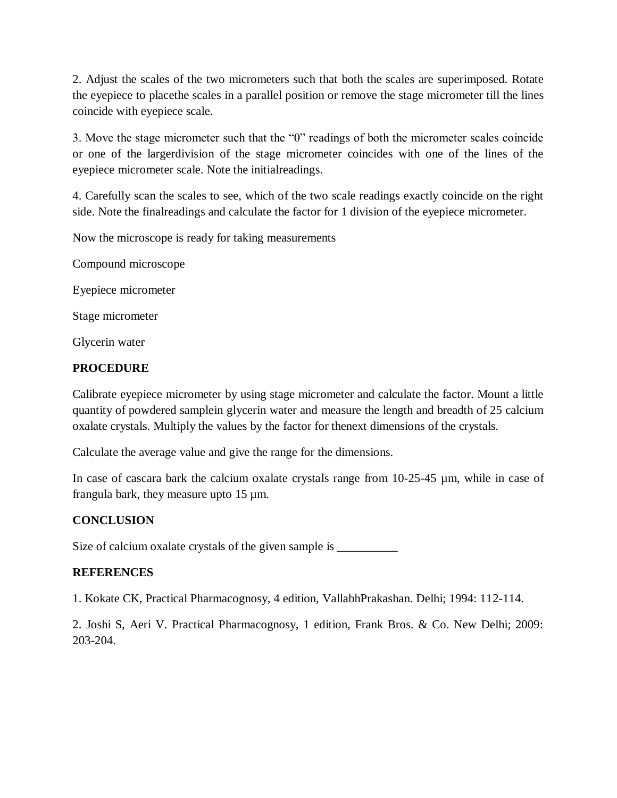2. Adjust the scales of the two micrometers such that both the scales are superimposed. Rotate the eyepiece to placethe scales in a parallel position or remove the stage micrometer till the lines coincide with eyepiece scale.

3. Move the stage micrometer such that the "0" readings of both the micrometer scales coincide or one of the largerdivision of the stage micrometer coincides with one of the lines of the eyepiece micrometer scale. Note the initialreadings.

4. Carefully scan the scales to see, which of the two scale readings exactly coincide on the right side. Note the finalreadings and calculate the factor for 1 division of the eyepiece micrometer.

Now the microscope is ready for taking measurements

Compound microscope

Eyepiece micrometer

Stage micrometer

Glycerin water

#### **PROCEDURE**

Calibrate eyepiece micrometer by using stage micrometer and calculate the factor. Mount a little quantity of powdered samplein glycerin water and measure the length and breadth of 25 calcium oxalate crystals. Multiply the values by the factor for thenext dimensions of the crystals.

Calculate the average value and give the range for the dimensions.

In case of cascara bark the calcium oxalate crystals range from 10-25-45 µm, while in case of frangula bark, they measure upto 15 µm.

### **CONCLUSION**

Size of calcium oxalate crystals of the given sample is  $\frac{1}{\sqrt{2\pi}}$ 

#### **REFERENCES**

1. Kokate CK, Practical Pharmacognosy, 4 edition, VallabhPrakashan. Delhi; 1994: 112-114.

2. Joshi S, Aeri V. Practical Pharmacognosy, 1 edition, Frank Bros. & Co. New Delhi; 2009: 203-204.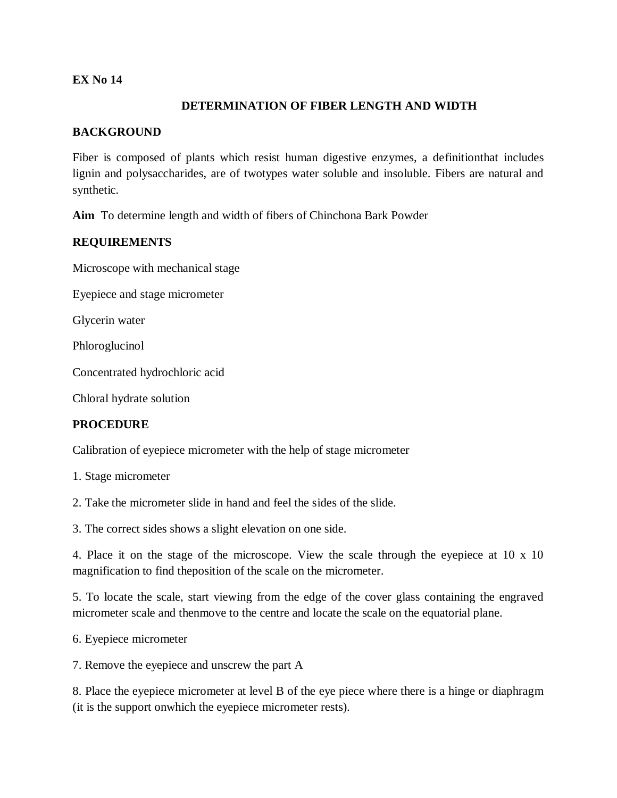#### **DETERMINATION OF FIBER LENGTH AND WIDTH**

#### **BACKGROUND**

Fiber is composed of plants which resist human digestive enzymes, a definitionthat includes lignin and polysaccharides, are of twotypes water soluble and insoluble. Fibers are natural and synthetic.

**Aim** To determine length and width of fibers of Chinchona Bark Powder

#### **REQUIREMENTS**

Microscope with mechanical stage

Eyepiece and stage micrometer

Glycerin water

Phloroglucinol

Concentrated hydrochloric acid

Chloral hydrate solution

#### **PROCEDURE**

Calibration of eyepiece micrometer with the help of stage micrometer

1. Stage micrometer

2. Take the micrometer slide in hand and feel the sides of the slide.

3. The correct sides shows a slight elevation on one side.

4. Place it on the stage of the microscope. View the scale through the eyepiece at 10 x 10 magnification to find theposition of the scale on the micrometer.

5. To locate the scale, start viewing from the edge of the cover glass containing the engraved micrometer scale and thenmove to the centre and locate the scale on the equatorial plane.

6. Eyepiece micrometer

7. Remove the eyepiece and unscrew the part A

8. Place the eyepiece micrometer at level B of the eye piece where there is a hinge or diaphragm (it is the support onwhich the eyepiece micrometer rests).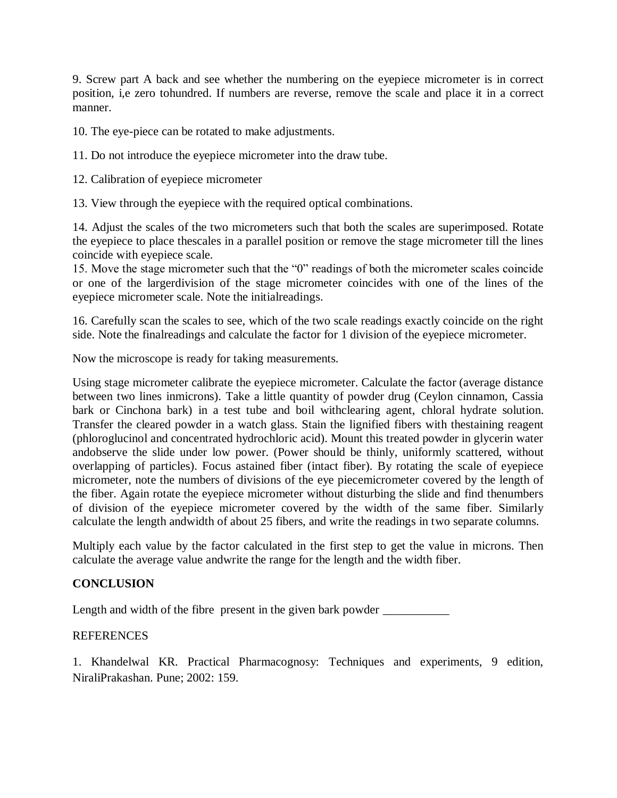9. Screw part A back and see whether the numbering on the eyepiece micrometer is in correct position, i,e zero tohundred. If numbers are reverse, remove the scale and place it in a correct manner.

10. The eye-piece can be rotated to make adjustments.

11. Do not introduce the eyepiece micrometer into the draw tube.

12. Calibration of eyepiece micrometer

13. View through the eyepiece with the required optical combinations.

14. Adjust the scales of the two micrometers such that both the scales are superimposed. Rotate the eyepiece to place thescales in a parallel position or remove the stage micrometer till the lines coincide with eyepiece scale.

15. Move the stage micrometer such that the "0" readings of both the micrometer scales coincide or one of the largerdivision of the stage micrometer coincides with one of the lines of the eyepiece micrometer scale. Note the initialreadings.

16. Carefully scan the scales to see, which of the two scale readings exactly coincide on the right side. Note the finalreadings and calculate the factor for 1 division of the eyepiece micrometer.

Now the microscope is ready for taking measurements.

Using stage micrometer calibrate the eyepiece micrometer. Calculate the factor (average distance between two lines inmicrons). Take a little quantity of powder drug (Ceylon cinnamon, Cassia bark or Cinchona bark) in a test tube and boil withclearing agent, chloral hydrate solution. Transfer the cleared powder in a watch glass. Stain the lignified fibers with thestaining reagent (phloroglucinol and concentrated hydrochloric acid). Mount this treated powder in glycerin water andobserve the slide under low power. (Power should be thinly, uniformly scattered, without overlapping of particles). Focus astained fiber (intact fiber). By rotating the scale of eyepiece micrometer, note the numbers of divisions of the eye piecemicrometer covered by the length of the fiber. Again rotate the eyepiece micrometer without disturbing the slide and find thenumbers of division of the eyepiece micrometer covered by the width of the same fiber. Similarly calculate the length andwidth of about 25 fibers, and write the readings in two separate columns.

Multiply each value by the factor calculated in the first step to get the value in microns. Then calculate the average value andwrite the range for the length and the width fiber.

#### **CONCLUSION**

Length and width of the fibre present in the given bark powder \_\_\_\_\_\_\_\_\_\_\_\_\_\_\_\_\_

#### REFERENCES

1. Khandelwal KR. Practical Pharmacognosy: Techniques and experiments, 9 edition, NiraliPrakashan. Pune; 2002: 159.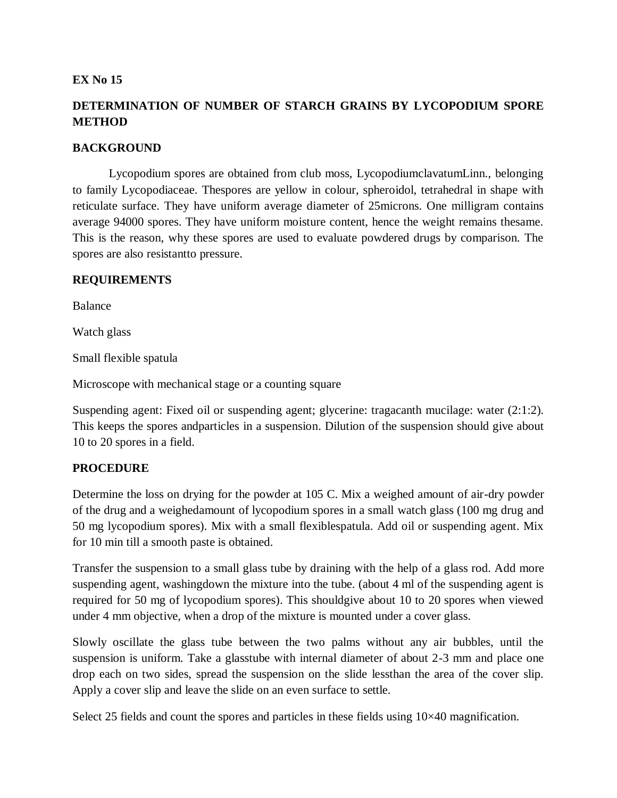### **DETERMINATION OF NUMBER OF STARCH GRAINS BY LYCOPODIUM SPORE METHOD**

#### **BACKGROUND**

Lycopodium spores are obtained from club moss, LycopodiumclavatumLinn., belonging to family Lycopodiaceae. Thespores are yellow in colour, spheroidol, tetrahedral in shape with reticulate surface. They have uniform average diameter of 25microns. One milligram contains average 94000 spores. They have uniform moisture content, hence the weight remains thesame. This is the reason, why these spores are used to evaluate powdered drugs by comparison. The spores are also resistantto pressure.

#### **REQUIREMENTS**

Balance

Watch glass

Small flexible spatula

Microscope with mechanical stage or a counting square

Suspending agent: Fixed oil or suspending agent; glycerine: tragacanth mucilage: water (2:1:2). This keeps the spores andparticles in a suspension. Dilution of the suspension should give about 10 to 20 spores in a field.

#### **PROCEDURE**

Determine the loss on drying for the powder at 105 C. Mix a weighed amount of air-dry powder of the drug and a weighedamount of lycopodium spores in a small watch glass (100 mg drug and 50 mg lycopodium spores). Mix with a small flexiblespatula. Add oil or suspending agent. Mix for 10 min till a smooth paste is obtained.

Transfer the suspension to a small glass tube by draining with the help of a glass rod. Add more suspending agent, washingdown the mixture into the tube. (about 4 ml of the suspending agent is required for 50 mg of lycopodium spores). This shouldgive about 10 to 20 spores when viewed under 4 mm objective, when a drop of the mixture is mounted under a cover glass.

Slowly oscillate the glass tube between the two palms without any air bubbles, until the suspension is uniform. Take a glasstube with internal diameter of about 2-3 mm and place one drop each on two sides, spread the suspension on the slide lessthan the area of the cover slip. Apply a cover slip and leave the slide on an even surface to settle.

Select 25 fields and count the spores and particles in these fields using  $10\times40$  magnification.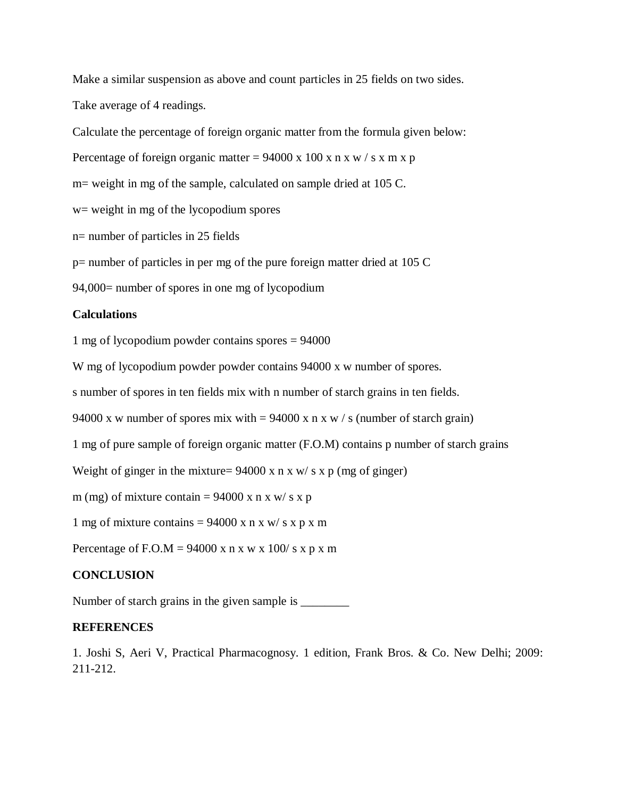Make a similar suspension as above and count particles in 25 fields on two sides. Take average of 4 readings.

Calculate the percentage of foreign organic matter from the formula given below:

Percentage of foreign organic matter =  $94000 \times 100 \times n \times w / s \times m \times p$ 

m= weight in mg of the sample, calculated on sample dried at 105 C.

w= weight in mg of the lycopodium spores

n= number of particles in 25 fields

p= number of particles in per mg of the pure foreign matter dried at 105 C

94,000= number of spores in one mg of lycopodium

#### **Calculations**

1 mg of lycopodium powder contains spores = 94000

W mg of lycopodium powder powder contains 94000 x w number of spores.

s number of spores in ten fields mix with n number of starch grains in ten fields.

94000 x w number of spores mix with  $= 94000$  x n x w / s (number of starch grain)

1 mg of pure sample of foreign organic matter (F.O.M) contains p number of starch grains

Weight of ginger in the mixture=  $94000 \times n \times w / s \times p$  (mg of ginger)

m (mg) of mixture contain =  $94000 \times n \times w / s \times p$ 

1 mg of mixture contains =  $94000 \times n \times w / s \times p \times m$ 

Percentage of F.O.M = 94000 x n x w x 100/ s x p x m

#### **CONCLUSION**

Number of starch grains in the given sample is \_\_\_\_\_\_\_\_

#### **REFERENCES**

1. Joshi S, Aeri V, Practical Pharmacognosy. 1 edition, Frank Bros. & Co. New Delhi; 2009: 211-212.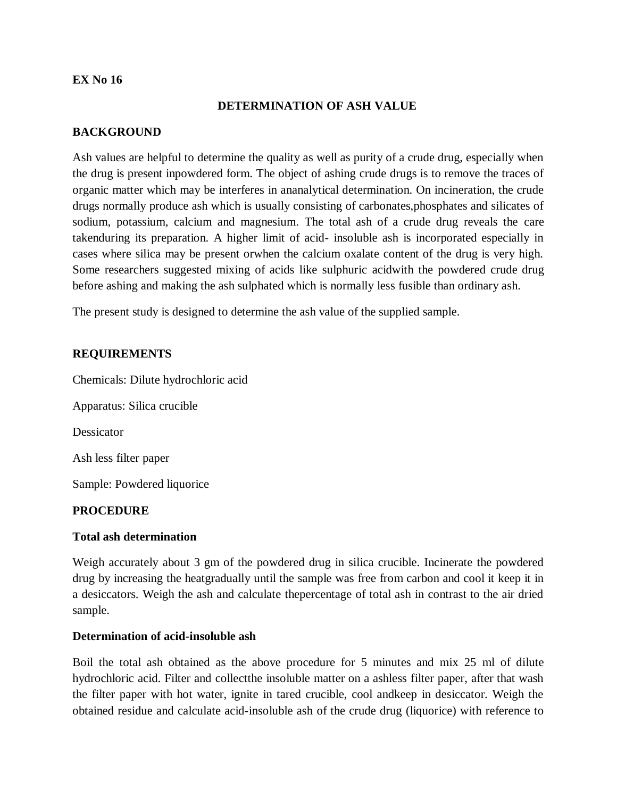#### **DETERMINATION OF ASH VALUE**

#### **BACKGROUND**

Ash values are helpful to determine the quality as well as purity of a crude drug, especially when the drug is present inpowdered form. The object of ashing crude drugs is to remove the traces of organic matter which may be interferes in ananalytical determination. On incineration, the crude drugs normally produce ash which is usually consisting of carbonates,phosphates and silicates of sodium, potassium, calcium and magnesium. The total ash of a crude drug reveals the care takenduring its preparation. A higher limit of acid- insoluble ash is incorporated especially in cases where silica may be present orwhen the calcium oxalate content of the drug is very high. Some researchers suggested mixing of acids like sulphuric acidwith the powdered crude drug before ashing and making the ash sulphated which is normally less fusible than ordinary ash.

The present study is designed to determine the ash value of the supplied sample.

#### **REQUIREMENTS**

Chemicals: Dilute hydrochloric acid Apparatus: Silica crucible

Dessicator

Ash less filter paper

Sample: Powdered liquorice

#### **PROCEDURE**

#### **Total ash determination**

Weigh accurately about 3 gm of the powdered drug in silica crucible. Incinerate the powdered drug by increasing the heatgradually until the sample was free from carbon and cool it keep it in a desiccators. Weigh the ash and calculate thepercentage of total ash in contrast to the air dried sample.

#### **Determination of acid-insoluble ash**

Boil the total ash obtained as the above procedure for 5 minutes and mix 25 ml of dilute hydrochloric acid. Filter and collectthe insoluble matter on a ashless filter paper, after that wash the filter paper with hot water, ignite in tared crucible, cool andkeep in desiccator. Weigh the obtained residue and calculate acid-insoluble ash of the crude drug (liquorice) with reference to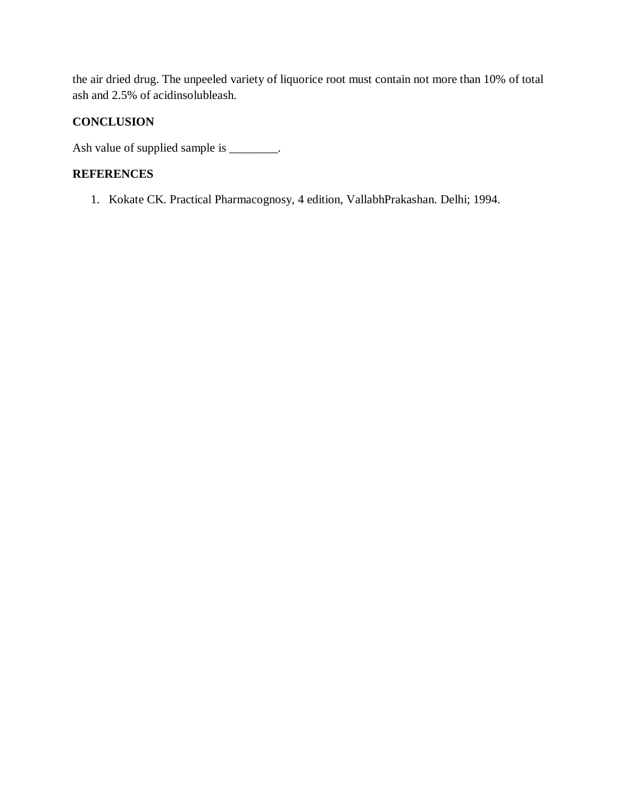the air dried drug. The unpeeled variety of liquorice root must contain not more than 10% of total ash and 2.5% of acidinsolubleash.

### **CONCLUSION**

Ash value of supplied sample is \_\_\_\_\_\_\_.

### **REFERENCES**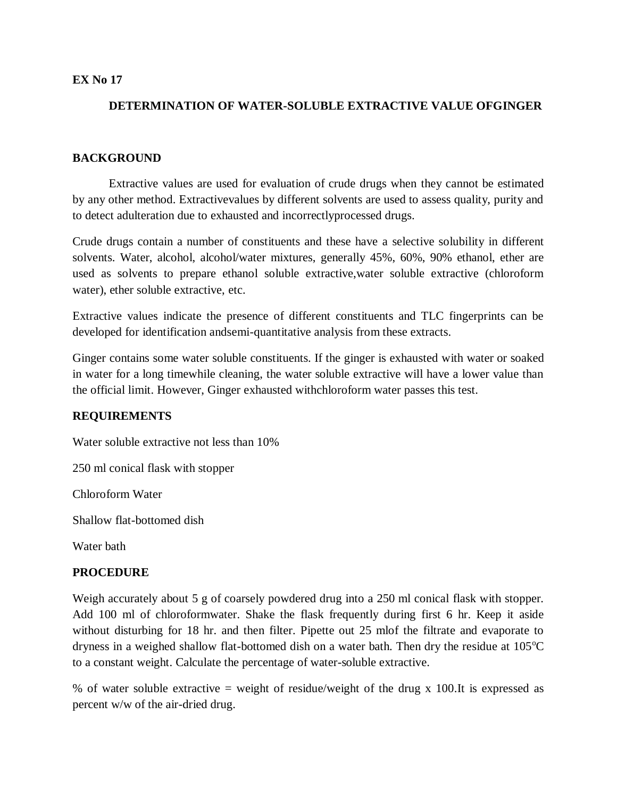### **DETERMINATION OF WATER-SOLUBLE EXTRACTIVE VALUE OFGINGER**

#### **BACKGROUND**

Extractive values are used for evaluation of crude drugs when they cannot be estimated by any other method. Extractivevalues by different solvents are used to assess quality, purity and to detect adulteration due to exhausted and incorrectlyprocessed drugs.

Crude drugs contain a number of constituents and these have a selective solubility in different solvents. Water, alcohol, alcohol/water mixtures, generally 45%, 60%, 90% ethanol, ether are used as solvents to prepare ethanol soluble extractive,water soluble extractive (chloroform water), ether soluble extractive, etc.

Extractive values indicate the presence of different constituents and TLC fingerprints can be developed for identification andsemi-quantitative analysis from these extracts.

Ginger contains some water soluble constituents. If the ginger is exhausted with water or soaked in water for a long timewhile cleaning, the water soluble extractive will have a lower value than the official limit. However, Ginger exhausted withchloroform water passes this test.

#### **REQUIREMENTS**

Water soluble extractive not less than 10%

250 ml conical flask with stopper

Chloroform Water

Shallow flat-bottomed dish

Water bath

#### **PROCEDURE**

Weigh accurately about 5 g of coarsely powdered drug into a 250 ml conical flask with stopper. Add 100 ml of chloroformwater. Shake the flask frequently during first 6 hr. Keep it aside without disturbing for 18 hr. and then filter. Pipette out 25 mlof the filtrate and evaporate to dryness in a weighed shallow flat-bottomed dish on a water bath. Then dry the residue at  $105^{\circ}$ C to a constant weight. Calculate the percentage of water-soluble extractive.

% of water soluble extractive = weight of residue/weight of the drug x 100.It is expressed as percent w/w of the air-dried drug.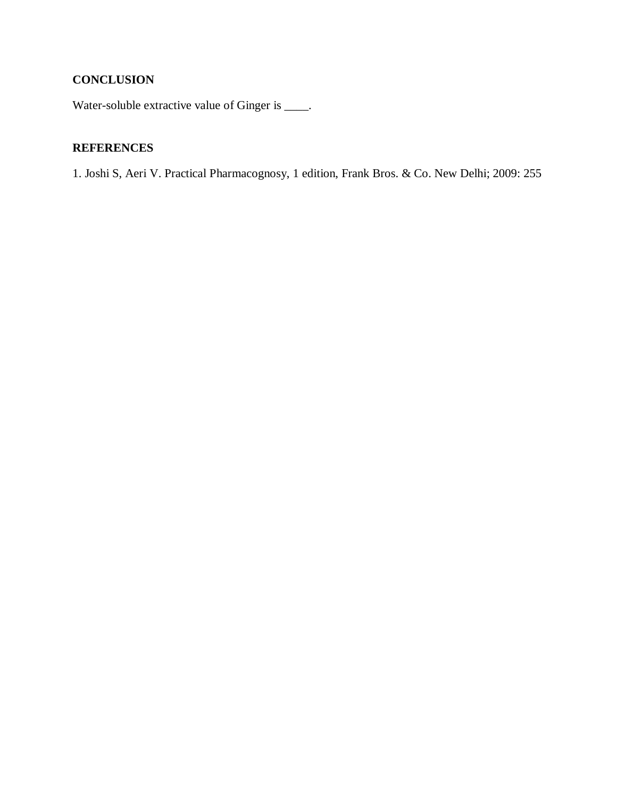## **CONCLUSION**

Water-soluble extractive value of Ginger is \_\_\_\_.

### **REFERENCES**

1. Joshi S, Aeri V. Practical Pharmacognosy, 1 edition, Frank Bros. & Co. New Delhi; 2009: 255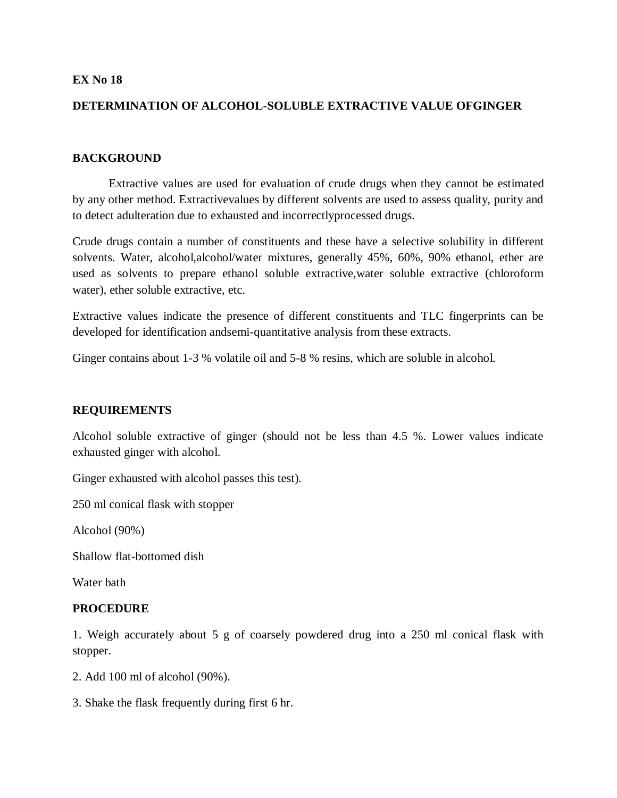#### **DETERMINATION OF ALCOHOL-SOLUBLE EXTRACTIVE VALUE OFGINGER**

#### **BACKGROUND**

Extractive values are used for evaluation of crude drugs when they cannot be estimated by any other method. Extractivevalues by different solvents are used to assess quality, purity and to detect adulteration due to exhausted and incorrectlyprocessed drugs.

Crude drugs contain a number of constituents and these have a selective solubility in different solvents. Water, alcohol,alcohol/water mixtures, generally 45%, 60%, 90% ethanol, ether are used as solvents to prepare ethanol soluble extractive,water soluble extractive (chloroform water), ether soluble extractive, etc.

Extractive values indicate the presence of different constituents and TLC fingerprints can be developed for identification andsemi-quantitative analysis from these extracts.

Ginger contains about 1-3 % volatile oil and 5-8 % resins, which are soluble in alcohol.

#### **REQUIREMENTS**

Alcohol soluble extractive of ginger (should not be less than 4.5 %. Lower values indicate exhausted ginger with alcohol.

Ginger exhausted with alcohol passes this test).

250 ml conical flask with stopper

Alcohol (90%)

Shallow flat-bottomed dish

Water bath

#### **PROCEDURE**

1. Weigh accurately about 5 g of coarsely powdered drug into a 250 ml conical flask with stopper.

- 2. Add 100 ml of alcohol (90%).
- 3. Shake the flask frequently during first 6 hr.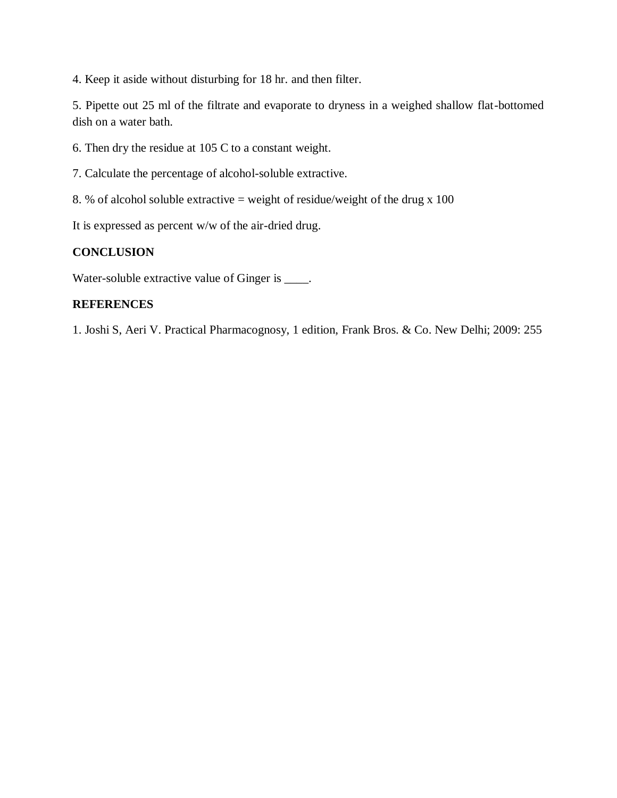4. Keep it aside without disturbing for 18 hr. and then filter.

5. Pipette out 25 ml of the filtrate and evaporate to dryness in a weighed shallow flat-bottomed dish on a water bath.

6. Then dry the residue at 105 C to a constant weight.

7. Calculate the percentage of alcohol-soluble extractive.

8. % of alcohol soluble extractive = weight of residue/weight of the drug  $x$  100

It is expressed as percent w/w of the air-dried drug.

#### **CONCLUSION**

Water-soluble extractive value of Ginger is \_\_\_\_.

#### **REFERENCES**

1. Joshi S, Aeri V. Practical Pharmacognosy, 1 edition, Frank Bros. & Co. New Delhi; 2009: 255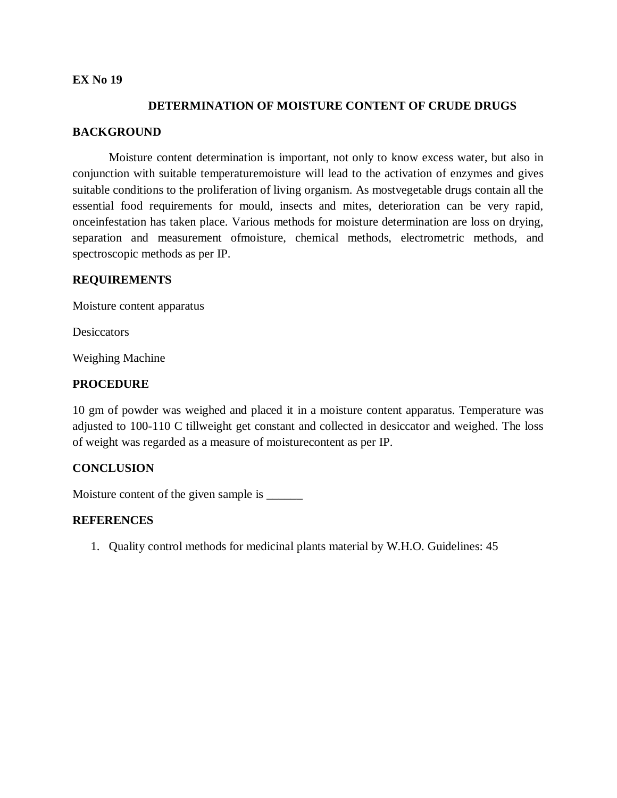#### **DETERMINATION OF MOISTURE CONTENT OF CRUDE DRUGS**

#### **BACKGROUND**

Moisture content determination is important, not only to know excess water, but also in conjunction with suitable temperaturemoisture will lead to the activation of enzymes and gives suitable conditions to the proliferation of living organism. As mostvegetable drugs contain all the essential food requirements for mould, insects and mites, deterioration can be very rapid, onceinfestation has taken place. Various methods for moisture determination are loss on drying, separation and measurement ofmoisture, chemical methods, electrometric methods, and spectroscopic methods as per IP.

#### **REQUIREMENTS**

Moisture content apparatus

**Desiccators** 

Weighing Machine

#### **PROCEDURE**

10 gm of powder was weighed and placed it in a moisture content apparatus. Temperature was adjusted to 100-110 C tillweight get constant and collected in desiccator and weighed. The loss of weight was regarded as a measure of moisturecontent as per IP.

#### **CONCLUSION**

Moisture content of the given sample is  $\qquad$ 

#### **REFERENCES**

1. Quality control methods for medicinal plants material by W.H.O. Guidelines: 45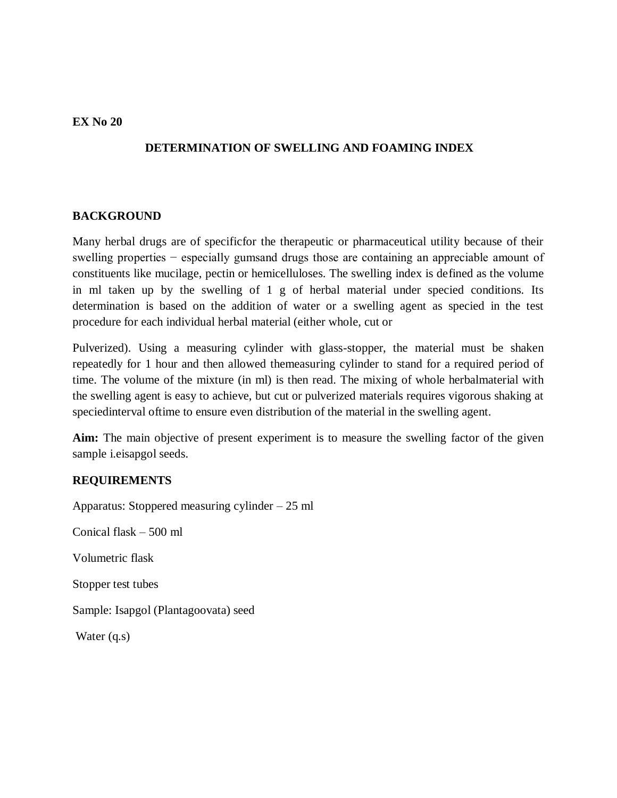### **DETERMINATION OF SWELLING AND FOAMING INDEX**

### **BACKGROUND**

Many herbal drugs are of specificfor the therapeutic or pharmaceutical utility because of their swelling properties – especially gumsand drugs those are containing an appreciable amount of constituents like mucilage, pectin or hemicelluloses. The swelling index is defined as the volume in ml taken up by the swelling of 1 g of herbal material under specied conditions. Its determination is based on the addition of water or a swelling agent as specied in the test procedure for each individual herbal material (either whole, cut or

Pulverized). Using a measuring cylinder with glass-stopper, the material must be shaken repeatedly for 1 hour and then allowed themeasuring cylinder to stand for a required period of time. The volume of the mixture (in ml) is then read. The mixing of whole herbalmaterial with the swelling agent is easy to achieve, but cut or pulverized materials requires vigorous shaking at speciedinterval oftime to ensure even distribution of the material in the swelling agent.

**Aim:** The main objective of present experiment is to measure the swelling factor of the given sample i.eisapgol seeds.

#### **REQUIREMENTS**

Apparatus: Stoppered measuring cylinder – 25 ml Conical flask – 500 ml Volumetric flask Stopper test tubes Sample: Isapgol (Plantagoovata) seed Water (q.s)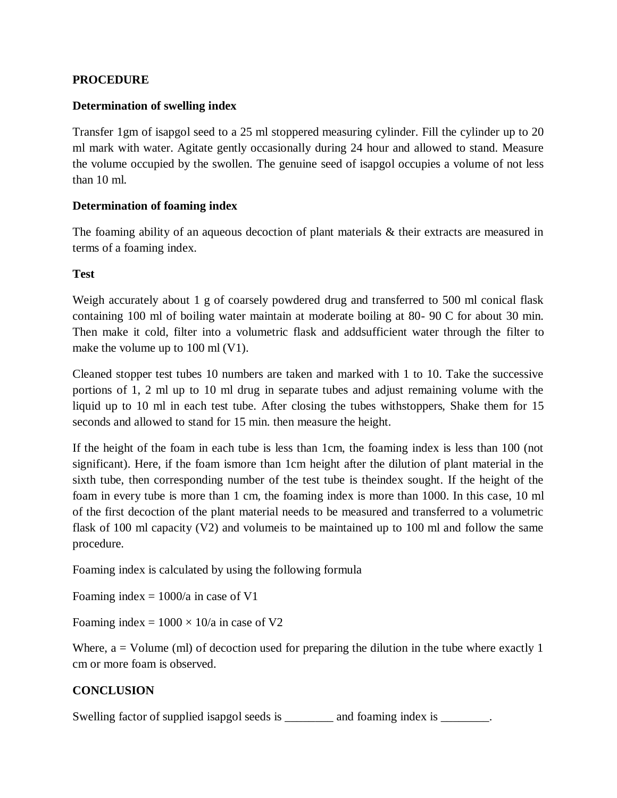#### **PROCEDURE**

#### **Determination of swelling index**

Transfer 1gm of isapgol seed to a 25 ml stoppered measuring cylinder. Fill the cylinder up to 20 ml mark with water. Agitate gently occasionally during 24 hour and allowed to stand. Measure the volume occupied by the swollen. The genuine seed of isapgol occupies a volume of not less than 10 ml.

#### **Determination of foaming index**

The foaming ability of an aqueous decoction of plant materials & their extracts are measured in terms of a foaming index.

#### **Test**

Weigh accurately about 1 g of coarsely powdered drug and transferred to 500 ml conical flask containing 100 ml of boiling water maintain at moderate boiling at 80- 90 C for about 30 min. Then make it cold, filter into a volumetric flask and addsufficient water through the filter to make the volume up to 100 ml (V1).

Cleaned stopper test tubes 10 numbers are taken and marked with 1 to 10. Take the successive portions of 1, 2 ml up to 10 ml drug in separate tubes and adjust remaining volume with the liquid up to 10 ml in each test tube. After closing the tubes withstoppers, Shake them for 15 seconds and allowed to stand for 15 min. then measure the height.

If the height of the foam in each tube is less than 1cm, the foaming index is less than 100 (not significant). Here, if the foam ismore than 1cm height after the dilution of plant material in the sixth tube, then corresponding number of the test tube is theindex sought. If the height of the foam in every tube is more than 1 cm, the foaming index is more than 1000. In this case, 10 ml of the first decoction of the plant material needs to be measured and transferred to a volumetric flask of 100 ml capacity (V2) and volumeis to be maintained up to 100 ml and follow the same procedure.

Foaming index is calculated by using the following formula

Foaming index  $= 1000/a$  in case of V1

Foaming index =  $1000 \times 10/a$  in case of V2

Where,  $a =$  Volume (ml) of decoction used for preparing the dilution in the tube where exactly 1 cm or more foam is observed.

### **CONCLUSION**

Swelling factor of supplied isapgol seeds is \_\_\_\_\_\_\_\_ and foaming index is \_\_\_\_\_\_\_.